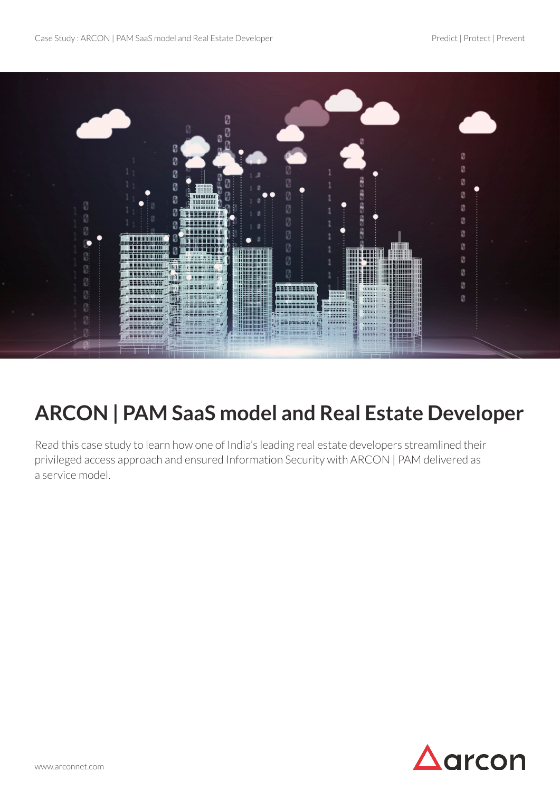

# **ARCON | PAM SaaS model and Real Estate Developer**

Read this case study to learn how one of India's leading real estate developers streamlined their privileged access approach and ensured Information Security with ARCON | PAM delivered as a service model.

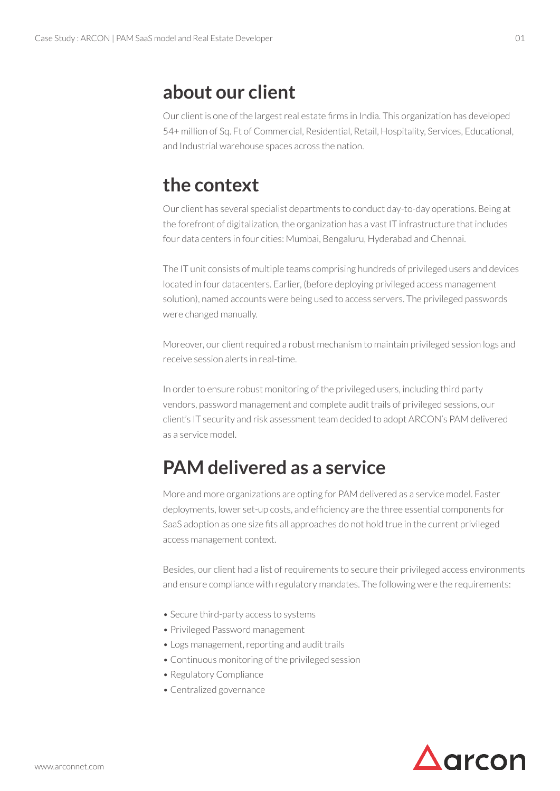#### **about our client**

Our client is one of the largest real estate firms in India. This organization has developed 54+ million of Sq. Ft of Commercial, Residential, Retail, Hospitality, Services, Educational, and Industrial warehouse spaces across the nation.

### **the context**

Our client has several specialist departments to conduct day-to-day operations. Being at the forefront of digitalization, the organization has a vast IT infrastructure that includes four data centers in four cities: Mumbai, Bengaluru, Hyderabad and Chennai.

The IT unit consists of multiple teams comprising hundreds of privileged users and devices located in four datacenters. Earlier, (before deploying privileged access management solution), named accounts were being used to access servers. The privileged passwords were changed manually.

Moreover, our client required a robust mechanism to maintain privileged session logs and receive session alerts in real-time.

In order to ensure robust monitoring of the privileged users, including third party vendors, password management and complete audit trails of privileged sessions, our client's IT security and risk assessment team decided to adopt ARCON's PAM delivered as a service model.

## **PAM delivered as a service**

More and more organizations are opting for PAM delivered as a service model. Faster deployments, lower set-up costs, and efficiency are the three essential components for SaaS adoption as one size fits all approaches do not hold true in the current privileged access management context.

Besides, our client had a list of requirements to secure their privileged access environments and ensure compliance with regulatory mandates. The following were the requirements:

- Secure third-party access to systems
- Privileged Password management
- Logs management, reporting and audit trails
- Continuous monitoring of the privileged session
- Regulatory Compliance
- Centralized governance



01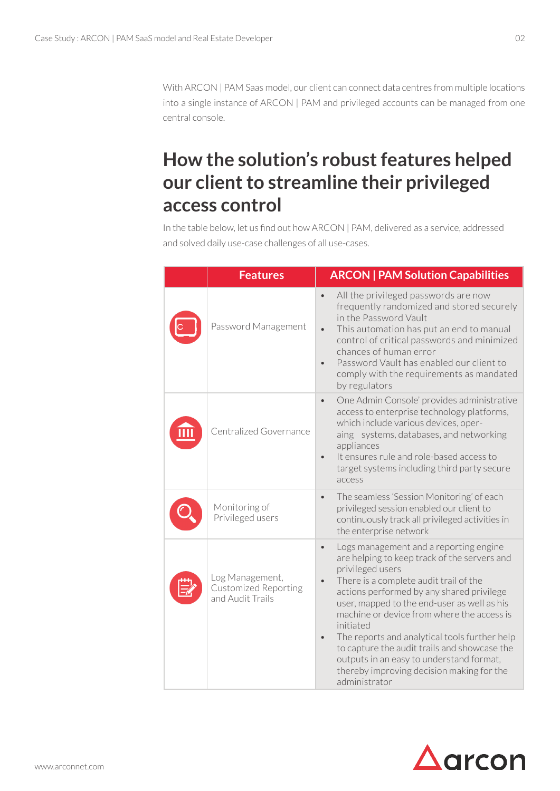With ARCON | PAM Saas model, our client can connect data centres from multiple locations into a single instance of ARCON | PAM and privileged accounts can be managed from one central console.

## **How the solution's robust features helped our client to streamline their privileged access control**

In the table below, let us find out how ARCON | PAM, delivered as a service, addressed and solved daily use-case challenges of all use-cases.

| <b>Features</b>                                                    | <b>ARCON   PAM Solution Capabilities</b>                                                                                                                                                                                                                                                                                                                                                                                                                                                                                                                      |
|--------------------------------------------------------------------|---------------------------------------------------------------------------------------------------------------------------------------------------------------------------------------------------------------------------------------------------------------------------------------------------------------------------------------------------------------------------------------------------------------------------------------------------------------------------------------------------------------------------------------------------------------|
| Password Management                                                | All the privileged passwords are now<br>$\bullet$<br>frequently randomized and stored securely<br>in the Password Vault<br>This automation has put an end to manual<br>$\bullet$<br>control of critical passwords and minimized<br>chances of human error<br>Password Vault has enabled our client to<br>$\bullet$<br>comply with the requirements as mandated<br>by regulators                                                                                                                                                                               |
| Centralized Governance                                             | One Admin Console' provides administrative<br>$\bullet$<br>access to enterprise technology platforms,<br>which include various devices, oper-<br>aing systems, databases, and networking<br>appliances<br>It ensures rule and role-based access to<br>target systems including third party secure<br>access                                                                                                                                                                                                                                                   |
| Monitoring of<br>Privileged users                                  | The seamless 'Session Monitoring' of each<br>$\bullet$<br>privileged session enabled our client to<br>continuously track all privileged activities in<br>the enterprise network                                                                                                                                                                                                                                                                                                                                                                               |
| Log Management,<br><b>Customized Reporting</b><br>and Audit Trails | Logs management and a reporting engine<br>$\bullet$<br>are helping to keep track of the servers and<br>privileged users<br>There is a complete audit trail of the<br>$\bullet$<br>actions performed by any shared privilege<br>user, mapped to the end-user as well as his<br>machine or device from where the access is<br>initiated<br>The reports and analytical tools further help<br>$\bullet$<br>to capture the audit trails and showcase the<br>outputs in an easy to understand format,<br>thereby improving decision making for the<br>administrator |

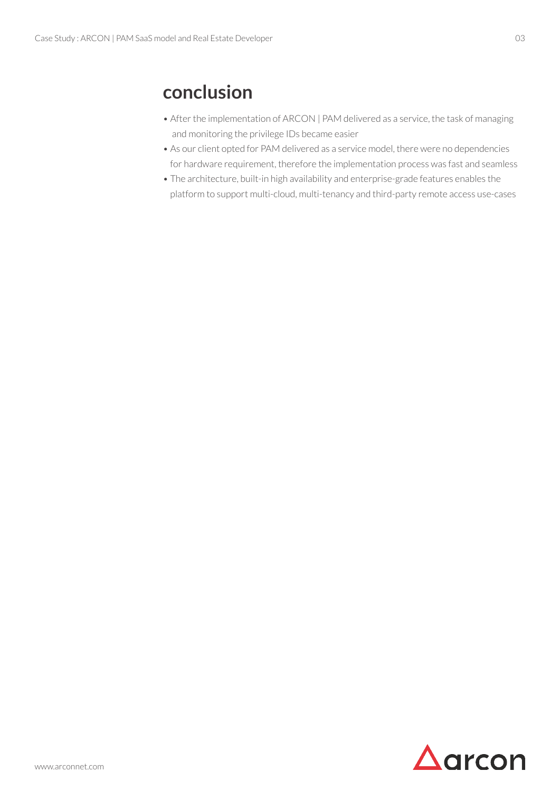### **conclusion**

- After the implementation of ARCON | PAM delivered as a service, the task of managing and monitoring the privilege IDs became easier
- As our client opted for PAM delivered as a service model, there were no dependencies for hardware requirement, therefore the implementation process was fast and seamless
- The architecture, built-in high availability and enterprise-grade features enables the platform to support multi-cloud, multi-tenancy and third-party remote access use-cases